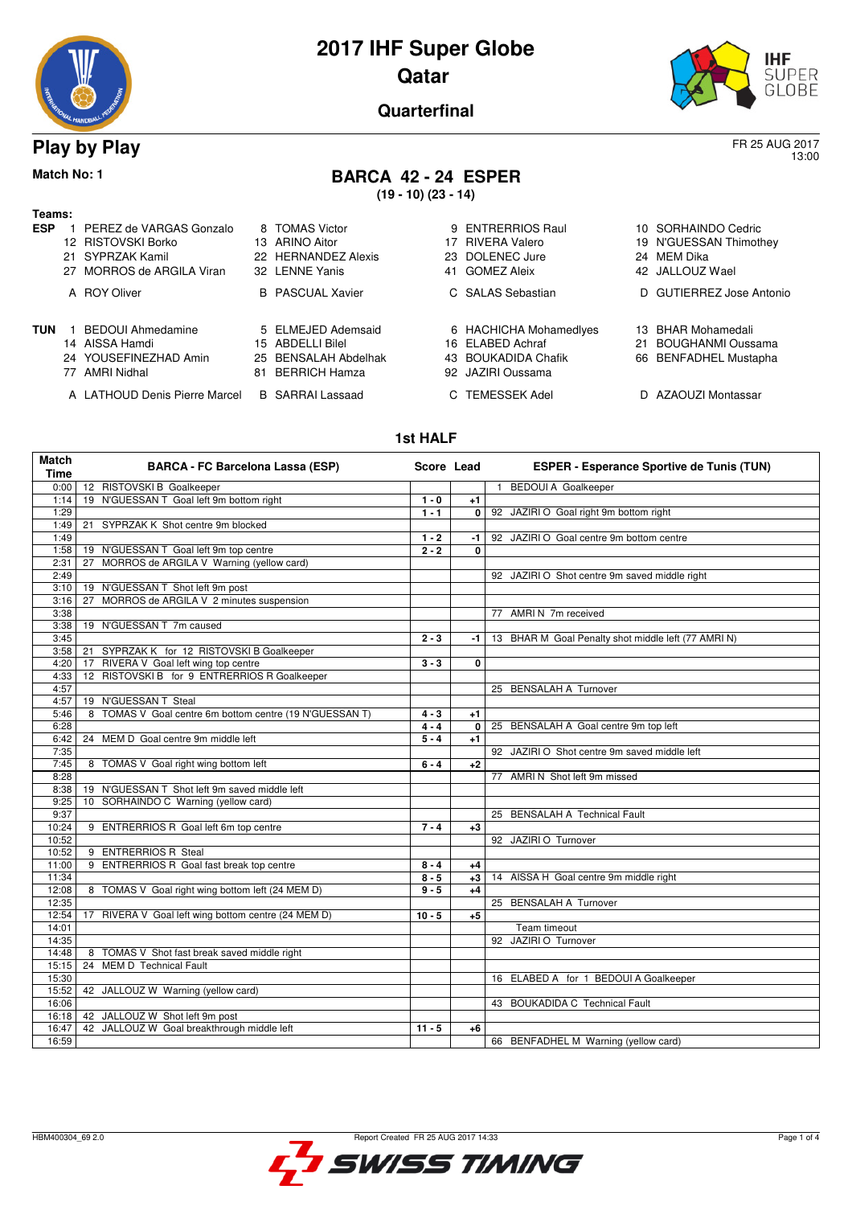

13:00

**Quarterfinal**

## **Play by Play** FR 25 AUG 2017

## **Match No: 1 BARCA 42 - 24 ESPER**

**(19 - 10) (23 - 14)**

# **Teams:**

| ESP | 1 PEREZ de VARGAS Gonzalo<br>12 RISTOVSKI Borko<br>21 SYPRZAK Kamil<br>27 MORROS de ARGILA Viran |    | 8 TOMAS Victor<br>13 ARINO Aitor<br>22 HERNANDEZ Alexis<br>32 LENNE Yanis       | 17 | 9 ENTRERRIOS Raul<br>RIVERA Valero<br>23 DOLENEC Jure<br>41 GOMEZ Aleix                | 10 SORHAINDO Cedric<br>19 N'GUESSAN Thimothey<br>24 MEM Dika<br>42 JALLOUZ Wael |
|-----|--------------------------------------------------------------------------------------------------|----|---------------------------------------------------------------------------------|----|----------------------------------------------------------------------------------------|---------------------------------------------------------------------------------|
|     | A ROY Oliver                                                                                     |    | <b>B</b> PASCUAL Xavier                                                         |    | C SALAS Sebastian                                                                      | D GUTIERREZ Jose Antonio                                                        |
| TUN | <b>BEDOUI Ahmedamine</b><br>14 AISSA Hamdi<br>24 YOUSEFINEZHAD Amin<br>77 AMRI Nidhal            | 81 | 5 ELMEJED Ademsaid<br>15 ABDELLI Bilel<br>25 BENSALAH Abdelhak<br>BERRICH Hamza |    | 6 HACHICHA Mohamedlyes<br>16 ELABED Achraf<br>43 BOUKADIDA Chafik<br>92 JAZIRI Oussama | 13 BHAR Mohamedali<br>21 BOUGHANMI Oussama<br>66 BENFADHEL Mustapha             |

A LATHOUD Denis Pierre Marcel B SARRAI Lassaad C TEMESSEK Adel D AZAOUZI Montassar

| HI GUNEZ AIBIX                                                                               | 42 J            |             |
|----------------------------------------------------------------------------------------------|-----------------|-------------|
| C SALAS Sebastian                                                                            | D               | G           |
| 6 HACHICHA Mohamedlyes<br><b>6 ELABED Achraf</b><br>13 BOUKADIDA Chafik<br>92 JAZIRI Oussama | 13<br>21<br>66. | В<br>в<br>В |
| C TEMECCEK Adol                                                                              |                 |             |

#### **1st HALF**

| Match<br><b>Time</b> | <b>BARCA - FC Barcelona Lassa (ESP)</b>                 | Score Lead |          | <b>ESPER - Esperance Sportive de Tunis (TUN)</b>    |
|----------------------|---------------------------------------------------------|------------|----------|-----------------------------------------------------|
| 0:00                 | 12 RISTOVSKI B Goalkeeper                               |            |          | <b>BEDOUI A Goalkeeper</b><br>$\mathbf{1}$          |
| 1:14                 | 19 N'GUESSAN T Goal left 9m bottom right                | $1 - 0$    | $+1$     |                                                     |
| 1:29                 |                                                         | $1 - 1$    | 0        | 92 JAZIRI O Goal right 9m bottom right              |
| 1:49                 | SYPRZAK K Shot centre 9m blocked<br>21                  |            |          |                                                     |
| 1:49                 |                                                         | $1 - 2$    | -1       | 92 JAZIRI O Goal centre 9m bottom centre            |
| 1:58                 | 19 N'GUESSAN T Goal left 9m top centre                  | $2 - 2$    | $\bf{0}$ |                                                     |
| 2:31                 | MORROS de ARGILA V Warning (yellow card)<br>27          |            |          |                                                     |
| 2:49                 |                                                         |            |          | 92 JAZIRI O Shot centre 9m saved middle right       |
| 3:10                 | 19 N'GUESSAN T Shot left 9m post                        |            |          |                                                     |
| 3:16                 | MORROS de ARGILA V 2 minutes suspension<br>27           |            |          |                                                     |
| 3:38                 |                                                         |            |          | 77 AMRIN 7m received                                |
| 3:38                 | 19 N'GUESSAN T 7m caused                                |            |          |                                                     |
| 3:45                 |                                                         | $2 - 3$    | -1.      | 13 BHAR M Goal Penalty shot middle left (77 AMRI N) |
| 3:58                 | SYPRZAK K for 12 RISTOVSKI B Goalkeeper<br>21           |            |          |                                                     |
| 4:20                 | RIVERA V Goal left wing top centre<br>17                | $3 - 3$    | 0        |                                                     |
| 4:33                 | 12 RISTOVSKI B for 9 ENTRERRIOS R Goalkeeper            |            |          |                                                     |
| 4:57                 |                                                         |            |          | 25 BENSALAH A Turnover                              |
| 4:57                 | 19 N'GUESSAN T Steal                                    |            |          |                                                     |
| 5:46                 | 8 TOMAS V Goal centre 6m bottom centre (19 N'GUESSAN T) | $4 - 3$    | $+1$     |                                                     |
| 6:28                 |                                                         | $4 - 4$    | 0        | 25 BENSALAH A Goal centre 9m top left               |
| 6:42                 | 24 MEM D Goal centre 9m middle left                     | $5 - 4$    | $+1$     |                                                     |
| 7:35                 |                                                         |            |          | 92 JAZIRI O Shot centre 9m saved middle left        |
| 7:45                 | 8 TOMAS V Goal right wing bottom left                   | $6 - 4$    | $+2$     |                                                     |
| 8:28                 |                                                         |            |          | 77 AMRI N Shot left 9m missed                       |
| 8:38                 | 19 N'GUESSAN T Shot left 9m saved middle left           |            |          |                                                     |
| 9:25                 | 10 SORHAINDO C Warning (yellow card)                    |            |          |                                                     |
| 9:37                 |                                                         |            |          | 25 BENSALAH A Technical Fault                       |
| 10:24                | 9 ENTRERRIOS R Goal left 6m top centre                  | $7 - 4$    | $+3$     |                                                     |
| 10:52                |                                                         |            |          | 92 JAZIRI O Turnover                                |
| 10:52                | 9 ENTRERRIOS R Steal                                    |            |          |                                                     |
| 11:00                | 9 ENTRERRIOS R Goal fast break top centre               | $8 - 4$    | $+4$     |                                                     |
| 11:34                |                                                         | $8 - 5$    | $+3$     | 14 AISSA H Goal centre 9m middle right              |
| 12:08                | 8 TOMAS V Goal right wing bottom left (24 MEM D)        | $9 - 5$    | $+4$     |                                                     |
| 12:35                |                                                         |            |          | 25 BENSALAH A Turnover                              |
| 12:54                | 17 RIVERA V Goal left wing bottom centre (24 MEM D)     | $10 - 5$   | $+5$     |                                                     |
| 14:01                |                                                         |            |          | Team timeout                                        |
| 14:35                |                                                         |            |          | 92 JAZIRI O Turnover                                |
| 14:48                | 8 TOMAS V Shot fast break saved middle right            |            |          |                                                     |
| 15:15                | <b>MEM D</b> Technical Fault<br>24                      |            |          |                                                     |
| 15:30                |                                                         |            |          | 16 ELABED A for 1 BEDOUI A Goalkeeper               |
| 15:52                | 42 JALLOUZ W Warning (yellow card)                      |            |          |                                                     |
| 16:06                |                                                         |            |          | 43 BOUKADIDA C Technical Fault                      |
| 16:18                | 42 JALLOUZ W Shot left 9m post                          |            |          |                                                     |
| 16:47                | 42 JALLOUZ W Goal breakthrough middle left              | $11 - 5$   | +6       |                                                     |
| 16:59                |                                                         |            |          | 66 BENFADHEL M Warning (yellow card)                |

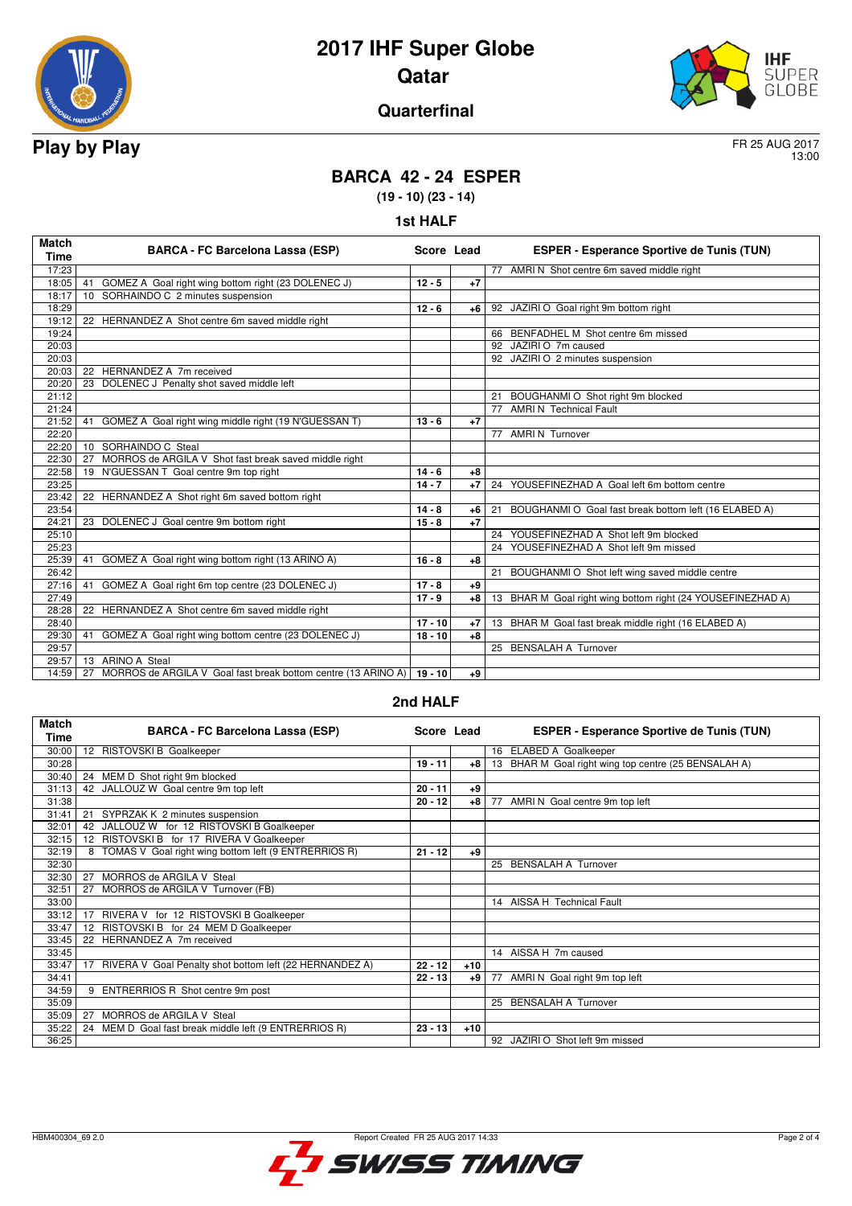



### **Quarterfinal**

13:00

## **BARCA 42 - 24 ESPER**

**(19 - 10) (23 - 14)**

| <b>st HAL</b> |
|---------------|
|---------------|

| <b>Match</b><br>Time | <b>BARCA - FC Barcelona Lassa (ESP)</b>                                       | Score Lead |      | <b>ESPER - Esperance Sportive de Tunis (TUN)</b>            |
|----------------------|-------------------------------------------------------------------------------|------------|------|-------------------------------------------------------------|
| 17:23                |                                                                               |            |      | 77 AMRI N Shot centre 6m saved middle right                 |
| 18:05                | GOMEZ A Goal right wing bottom right (23 DOLENEC J)<br>41                     | $12 - 5$   | $+7$ |                                                             |
| 18:17                | SORHAINDO C 2 minutes suspension<br>10                                        |            |      |                                                             |
| 18:29                |                                                                               | $12 - 6$   | +6   | 92 JAZIRI O Goal right 9m bottom right                      |
| 19:12                | 22 HERNANDEZ A Shot centre 6m saved middle right                              |            |      |                                                             |
| 19:24                |                                                                               |            |      | 66 BENFADHEL M Shot centre 6m missed                        |
| 20:03                |                                                                               |            |      | 92 JAZIRI O 7m caused                                       |
| 20:03                |                                                                               |            |      | 92 JAZIRI O 2 minutes suspension                            |
| 20:03                | 22<br>HERNANDEZ A 7m received                                                 |            |      |                                                             |
| 20:20                | DOLENEC J Penalty shot saved middle left<br>23                                |            |      |                                                             |
| 21:12                |                                                                               |            |      | BOUGHANMI O Shot right 9m blocked<br>21                     |
| 21:24                |                                                                               |            |      | 77 AMRIN Technical Fault                                    |
| 21:52                | 41<br>GOMEZ A Goal right wing middle right (19 N'GUESSAN T)                   | $13 - 6$   | $+7$ |                                                             |
| 22:20                |                                                                               |            |      | 77 AMRIN Turnover                                           |
| 22:20                | SORHAINDO C Steal<br>10 <sup>1</sup>                                          |            |      |                                                             |
| 22:30                | MORROS de ARGILA V Shot fast break saved middle right<br>27                   |            |      |                                                             |
| 22:58                | 19 N'GUESSAN T Goal centre 9m top right                                       | $14 - 6$   | $+8$ |                                                             |
| 23:25                |                                                                               | $14 - 7$   | $+7$ | YOUSEFINEZHAD A Goal left 6m bottom centre<br>24            |
| 23:42                | 22 HERNANDEZ A Shot right 6m saved bottom right                               |            |      |                                                             |
| 23:54                |                                                                               | $14 - 8$   | +6   | BOUGHANMI O Goal fast break bottom left (16 ELABED A)<br>21 |
| 24:21                | 23 DOLENEC J Goal centre 9m bottom right                                      | $15 - 8$   | $+7$ |                                                             |
| 25:10                |                                                                               |            |      | 24 YOUSEFINEZHAD A Shot left 9m blocked                     |
| 25:23                |                                                                               |            |      | 24<br>YOUSEFINEZHAD A Shot left 9m missed                   |
| 25:39                | GOMEZ A Goal right wing bottom right (13 ARINO A)<br>41                       | $16 - 8$   | $+8$ |                                                             |
| 26:42                |                                                                               |            |      | BOUGHANMI O Shot left wing saved middle centre<br>21        |
| 27:16                | GOMEZ A Goal right 6m top centre (23 DOLENEC J)<br>41                         | $17 - 8$   | $+9$ |                                                             |
| 27:49                |                                                                               | $17 - 9$   | $+8$ | 13 BHAR M Goal right wing bottom right (24 YOUSEFINEZHAD A) |
| 28:28                | 22 HERNANDEZ A Shot centre 6m saved middle right                              |            |      |                                                             |
| 28:40                |                                                                               | $17 - 10$  | $+7$ | 13 BHAR M Goal fast break middle right (16 ELABED A)        |
| 29:30                | GOMEZ A Goal right wing bottom centre (23 DOLENEC J)<br>41                    | $18 - 10$  | $+8$ |                                                             |
| 29:57                |                                                                               |            |      | 25 BENSALAH A Turnover                                      |
| 29:57                | <b>ARINO A Steal</b><br>13                                                    |            |      |                                                             |
| 14:59                | MORROS de ARGILA V Goal fast break bottom centre (13 ARINO A)   19 - 10<br>27 |            | +9   |                                                             |

#### **2nd HALF**

| <b>Match</b><br>Time | <b>BARCA - FC Barcelona Lassa (ESP)</b>                    | Score Lead |       | <b>ESPER - Esperance Sportive de Tunis (TUN)</b>     |
|----------------------|------------------------------------------------------------|------------|-------|------------------------------------------------------|
| 30:00                | 12 RISTOVSKI B Goalkeeper                                  |            |       | 16 ELABED A Goalkeeper                               |
| 30:28                |                                                            | $19 - 11$  | $+8$  | 13 BHAR M Goal right wing top centre (25 BENSALAH A) |
| 30:40                | 24 MEM D Shot right 9m blocked                             |            |       |                                                      |
| 31:13                | 42 JALLOUZ W Goal centre 9m top left                       | $20 - 11$  | +9    |                                                      |
| 31:38                |                                                            | $20 - 12$  | $+8$  | AMRI N Goal centre 9m top left<br>77                 |
| 31:41                | SYPRZAK K 2 minutes suspension<br>21                       |            |       |                                                      |
| 32:01                | JALLOUZ W for 12 RISTOVSKI B Goalkeeper<br>42              |            |       |                                                      |
| 32:15                | RISTOVSKI B for 17 RIVERA V Goalkeeper<br>12               |            |       |                                                      |
| 32:19                | TOMAS V Goal right wing bottom left (9 ENTRERRIOS R)<br>8  | $21 - 12$  | +9    |                                                      |
| 32:30                |                                                            |            |       | 25 BENSALAH A Turnover                               |
| 32:30                | MORROS de ARGILA V Steal<br>27                             |            |       |                                                      |
| 32:51                | MORROS de ARGILA V Turnover (FB)<br>27                     |            |       |                                                      |
| 33:00                |                                                            |            |       | 14 AISSA H Technical Fault                           |
| 33:12                | RIVERA V for 12 RISTOVSKI B Goalkeeper<br>17               |            |       |                                                      |
| 33:47                | RISTOVSKI B for 24 MEM D Goalkeeper<br>12                  |            |       |                                                      |
| 33:45                | 22 HERNANDEZ A 7m received                                 |            |       |                                                      |
| 33:45                |                                                            |            |       | 14 AISSA H 7m caused                                 |
| 33:47                | 17 RIVERA V Goal Penalty shot bottom left (22 HERNANDEZ A) | $22 - 12$  | $+10$ |                                                      |
| 34:41                |                                                            | $22 - 13$  | +9    | AMRI N Goal right 9m top left<br>77                  |
| 34:59                | 9 ENTRERRIOS R Shot centre 9m post                         |            |       |                                                      |
| 35:09                |                                                            |            |       | 25 BENSALAH A Turnover                               |
| 35:09                | MORROS de ARGILA V Steal<br>27                             |            |       |                                                      |
| 35:22                | 24 MEM D Goal fast break middle left (9 ENTRERRIOS R)      | $23 - 13$  | $+10$ |                                                      |
| 36:25                |                                                            |            |       | 92 JAZIRI O Shot left 9m missed                      |

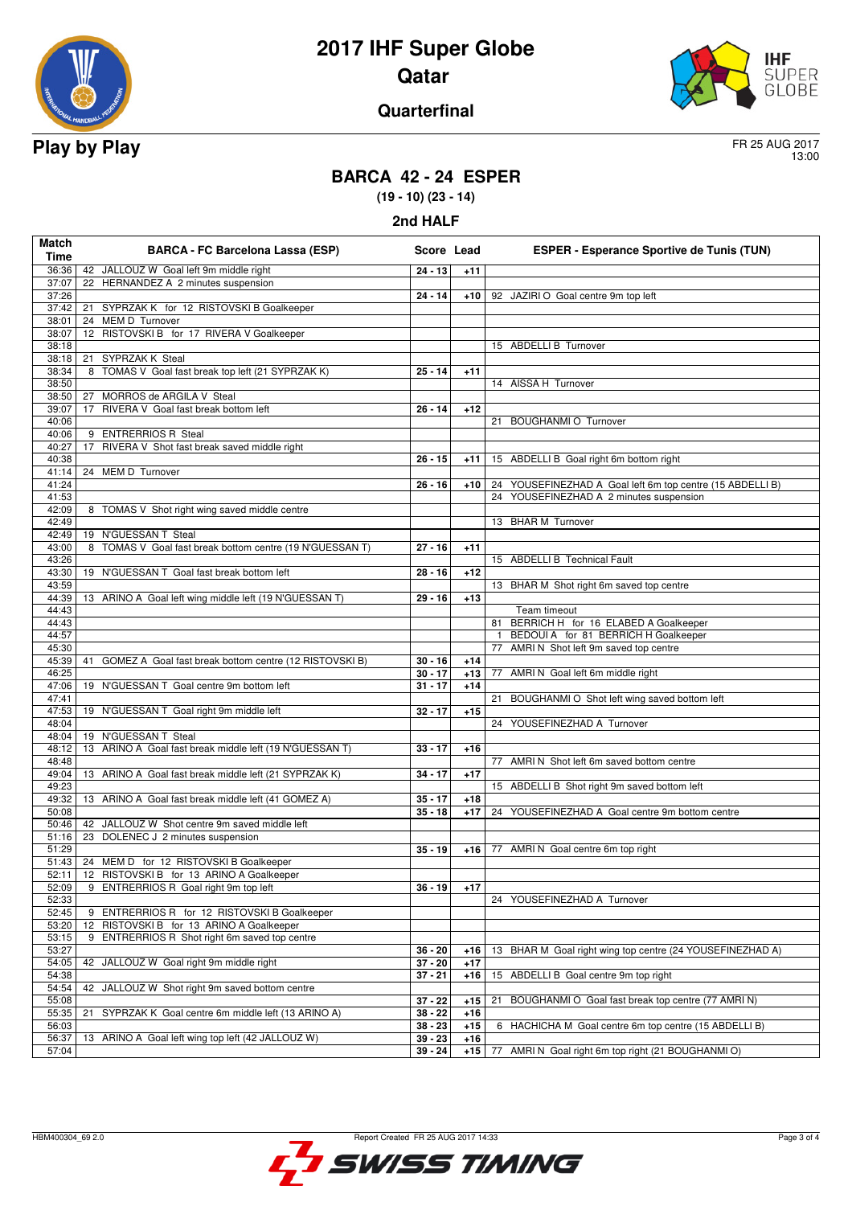



#### **Quarterfinal**

13:00

## **BARCA 42 - 24 ESPER**

**(19 - 10) (23 - 14)**

| Match<br><b>Time</b> | <b>BARCA - FC Barcelona Lassa (ESP)</b>                      | Score Lead |       | <b>ESPER - Esperance Sportive de Tunis (TUN)</b>          |
|----------------------|--------------------------------------------------------------|------------|-------|-----------------------------------------------------------|
| 36:36                | 42 JALLOUZ W Goal left 9m middle right                       | $24 - 13$  | $+11$ |                                                           |
| 37:07                | 22 HERNANDEZ A 2 minutes suspension                          |            |       |                                                           |
| 37:26                |                                                              | $24 - 14$  | $+10$ | 92 JAZIRI O Goal centre 9m top left                       |
| 37:42                | SYPRZAK K for 12 RISTOVSKI B Goalkeeper<br>21                |            |       |                                                           |
| 38:01                | 24 MEM D Turnover                                            |            |       |                                                           |
| 38:07                | 12 RISTOVSKI B for 17 RIVERA V Goalkeeper                    |            |       |                                                           |
| 38:18                |                                                              |            |       | 15 ABDELLI B Turnover                                     |
| 38:18                | 21 SYPRZAK K Steal                                           |            |       |                                                           |
| 38:34                | TOMAS V Goal fast break top left (21 SYPRZAK K)<br>8         | $25 - 14$  | $+11$ |                                                           |
| 38:50                |                                                              |            |       | 14 AISSA H Turnover                                       |
| 38:50                | 27 MORROS de ARGILA V Steal                                  |            |       |                                                           |
| 39:07                | RIVERA V Goal fast break bottom left<br>17                   | $26 - 14$  | $+12$ |                                                           |
| 40:06                |                                                              |            |       | <b>BOUGHANMI O Turnover</b><br>21                         |
| 40:06                | <b>ENTRERRIOS R Steal</b><br>9                               |            |       |                                                           |
| 40:27                | RIVERA V Shot fast break saved middle right<br>17            |            |       |                                                           |
| 40:38                |                                                              | $26 - 15$  | $+11$ | 15 ABDELLI B Goal right 6m bottom right                   |
| 41:14                | 24 MEM D Turnover                                            |            |       | 24 YOUSEFINEZHAD A Goal left 6m top centre (15 ABDELLI B) |
| 41:24<br>41:53       |                                                              | $26 - 16$  | $+10$ | 24 YOUSEFINEZHAD A 2 minutes suspension                   |
| 42:09                | 8 TOMAS V Shot right wing saved middle centre                |            |       |                                                           |
| 42:49                |                                                              |            |       | 13 BHAR M Turnover                                        |
| 42:49                | 19 N'GUESSAN T Steal                                         |            |       |                                                           |
| 43:00                | 8<br>TOMAS V Goal fast break bottom centre (19 N'GUESSAN T)  | $27 - 16$  | $+11$ |                                                           |
| 43:26                |                                                              |            |       | 15 ABDELLI B Technical Fault                              |
| 43:30                | 19 N'GUESSAN T Goal fast break bottom left                   | $28 - 16$  | $+12$ |                                                           |
| 43:59                |                                                              |            |       | 13 BHAR M Shot right 6m saved top centre                  |
| 44:39                | 13 ARINO A Goal left wing middle left (19 N'GUESSAN T)       | $29 - 16$  | $+13$ |                                                           |
| 44:43                |                                                              |            |       | Team timeout                                              |
| 44:43                |                                                              |            |       | 81 BERRICH H for 16 ELABED A Goalkeeper                   |
| 44:57                |                                                              |            |       | BEDOUI A for 81 BERRICH H Goalkeeper<br>$\mathbf{1}$      |
| 45:30                |                                                              |            |       | 77 AMRIN Shot left 9m saved top centre                    |
| 45:39                | GOMEZ A Goal fast break bottom centre (12 RISTOVSKI B)<br>41 | $30 - 16$  | $+14$ |                                                           |
| 46:25                |                                                              | $30 - 17$  | $+13$ | 77 AMRI N Goal left 6m middle right                       |
| 47:06                | 19 N'GUESSAN T Goal centre 9m bottom left                    | $31 - 17$  | $+14$ |                                                           |
| 47:41                |                                                              |            |       | 21 BOUGHANMI O Shot left wing saved bottom left           |
| 47:53                | 19 N'GUESSAN T Goal right 9m middle left                     | $32 - 17$  | $+15$ |                                                           |
| 48:04                |                                                              |            |       | 24 YOUSEFINEZHAD A Turnover                               |
| 48:04                | 19 N'GUESSAN T Steal                                         |            |       |                                                           |
| 48:12                | 13 ARINO A Goal fast break middle left (19 N'GUESSAN T)      | $33 - 17$  | $+16$ |                                                           |
| 48:48                | 13 ARINO A Goal fast break middle left (21 SYPRZAK K)        |            |       | 77 AMRI N Shot left 6m saved bottom centre                |
| 49:04<br>49:23       |                                                              | $34 - 17$  | $+17$ | 15 ABDELLI B Shot right 9m saved bottom left              |
| 49:32                | 13 ARINO A Goal fast break middle left (41 GOMEZ A)          | $35 - 17$  | $+18$ |                                                           |
| 50:08                |                                                              | $35 - 18$  | $+17$ | 24 YOUSEFINEZHAD A Goal centre 9m bottom centre           |
| 50:46                | 42 JALLOUZ W Shot centre 9m saved middle left                |            |       |                                                           |
| 51:16                | 23 DOLENEC J 2 minutes suspension                            |            |       |                                                           |
| 51:29                |                                                              | $35 - 19$  | $+16$ | 77 AMRI N Goal centre 6m top right                        |
| 51:43                | 24 MEM D for 12 RISTOVSKI B Goalkeeper                       |            |       |                                                           |
| 52:11                | 12 RISTOVSKI B for 13 ARINO A Goalkeeper                     |            |       |                                                           |
| 52:09                | 9 ENTRERRIOS R Goal right 9m top left                        | $36 - 19$  | $+17$ |                                                           |
| 52:33                |                                                              |            |       | 24 YOUSEFINEZHAD A Turnover                               |
| 52:45                | ENTRERRIOS R for 12 RISTOVSKI B Goalkeeper<br>9              |            |       |                                                           |
| 53:20                | RISTOVSKI B for 13 ARINO A Goalkeeper<br>12                  |            |       |                                                           |
| 53:15                | ENTRERRIOS R Shot right 6m saved top centre<br>9             |            |       |                                                           |
| 53:27                |                                                              | $36 - 20$  | +16   | 13 BHAR M Goal right wing top centre (24 YOUSEFINEZHAD A) |
| 54:05                | 42 JALLOUZ W Goal right 9m middle right                      | $37 - 20$  | $+17$ |                                                           |
| 54:38                |                                                              | $37 - 21$  | $+16$ | 15 ABDELLI B Goal centre 9m top right                     |
| 54:54                | JALLOUZ W Shot right 9m saved bottom centre<br>42            |            |       |                                                           |
| 55:08                |                                                              | $37 - 22$  | $+15$ | 21<br>BOUGHANMI O Goal fast break top centre (77 AMRI N)  |
| 55:35                | SYPRZAK K Goal centre 6m middle left (13 ARINO A)<br>21      | $38 - 22$  | $+16$ |                                                           |
| 56:03                |                                                              | $38 - 23$  | $+15$ | HACHICHA M Goal centre 6m top centre (15 ABDELLI B)<br>6  |
| 56:37                | 13 ARINO A Goal left wing top left (42 JALLOUZ W)            | 39 - 23    | $+16$ |                                                           |
| 57:04                |                                                              | $39 - 24$  | $+15$ | 77 AMRI N Goal right 6m top right (21 BOUGHANMI O)        |